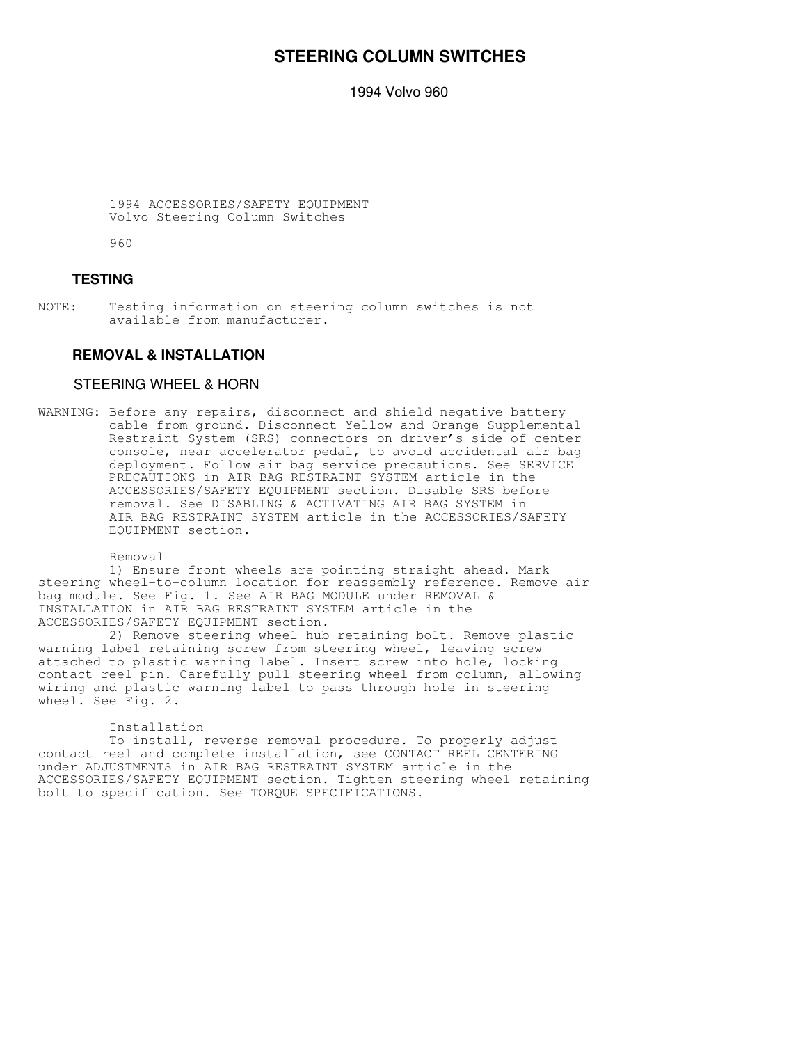## **STEERING COLUMN SWITCHES**

1994 Volvo 960

 1994 ACCESSORIES/SAFETY EQUIPMENT Volvo Steering Column Switches

960

## **TESTING**

NOTE: Testing information on steering column switches is not available from manufacturer.

## **REMOVAL & INSTALLATION**

### STEERING WHEEL & HORN

WARNING: Before any repairs, disconnect and shield negative battery cable from ground. Disconnect Yellow and Orange Supplemental Restraint System (SRS) connectors on driver's side of center console, near accelerator pedal, to avoid accidental air bag deployment. Follow air bag service precautions. See SERVICE PRECAUTIONS in AIR BAG RESTRAINT SYSTEM article in the ACCESSORIES/SAFETY EQUIPMENT section. Disable SRS before removal. See DISABLING & ACTIVATING AIR BAG SYSTEM in AIR BAG RESTRAINT SYSTEM article in the ACCESSORIES/SAFETY EQUIPMENT section.

Removal

 1) Ensure front wheels are pointing straight ahead. Mark steering wheel-to-column location for reassembly reference. Remove air bag module. See Fig. 1. See AIR BAG MODULE under REMOVAL & INSTALLATION in AIR BAG RESTRAINT SYSTEM article in the ACCESSORIES/SAFETY EQUIPMENT section.

 2) Remove steering wheel hub retaining bolt. Remove plastic warning label retaining screw from steering wheel, leaving screw attached to plastic warning label. Insert screw into hole, locking contact reel pin. Carefully pull steering wheel from column, allowing wiring and plastic warning label to pass through hole in steering wheel. See Fig. 2.

### Installation

 To install, reverse removal procedure. To properly adjust contact reel and complete installation, see CONTACT REEL CENTERING under ADJUSTMENTS in AIR BAG RESTRAINT SYSTEM article in the ACCESSORIES/SAFETY EQUIPMENT section. Tighten steering wheel retaining bolt to specification. See TORQUE SPECIFICATIONS.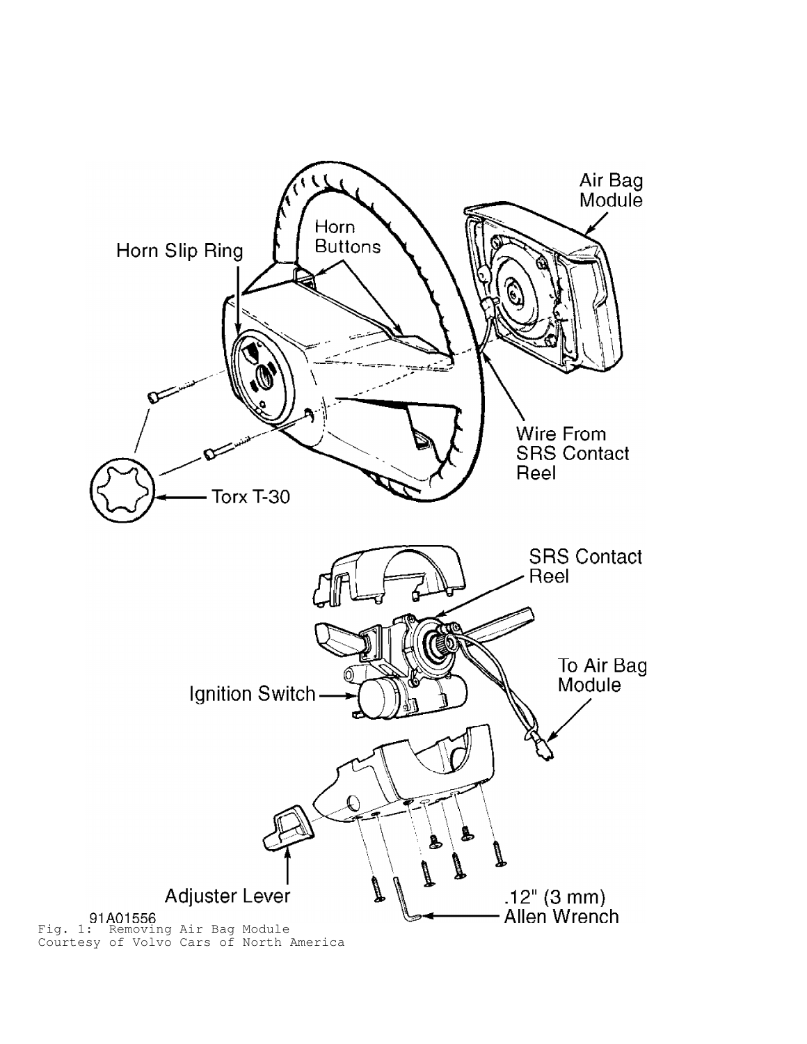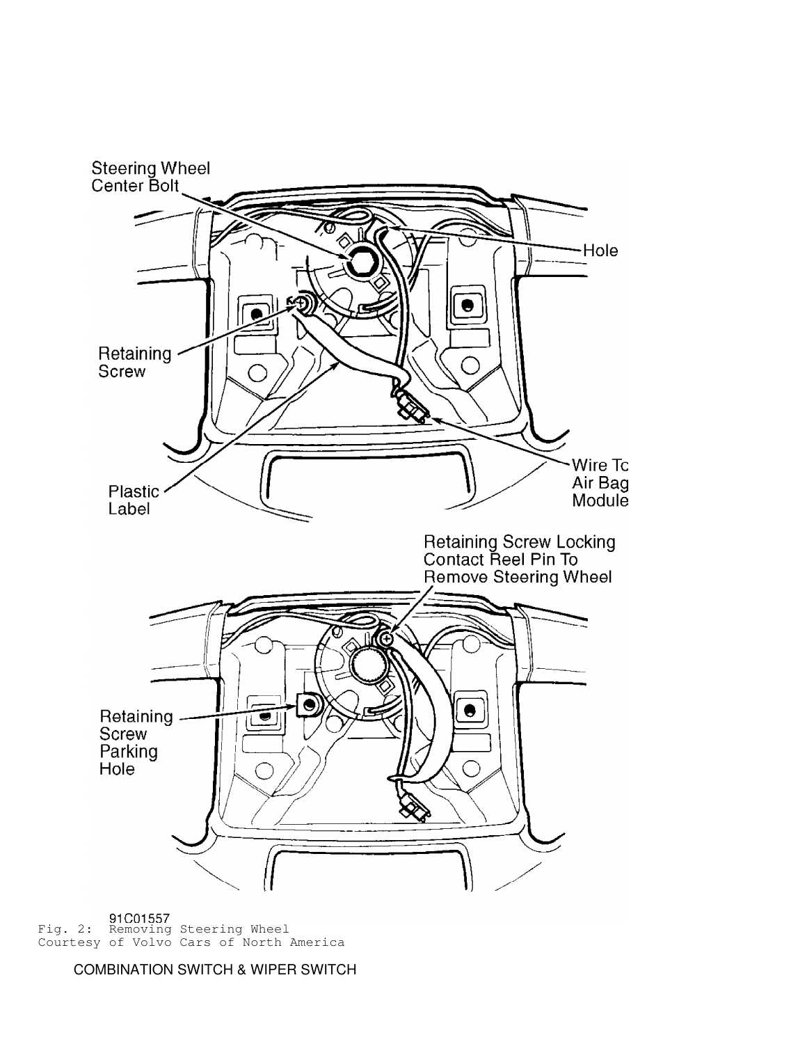

Fig. 2: Removing Steering Wheel Courtesy of Volvo Cars of North America

COMBINATION SWITCH & WIPER SWITCH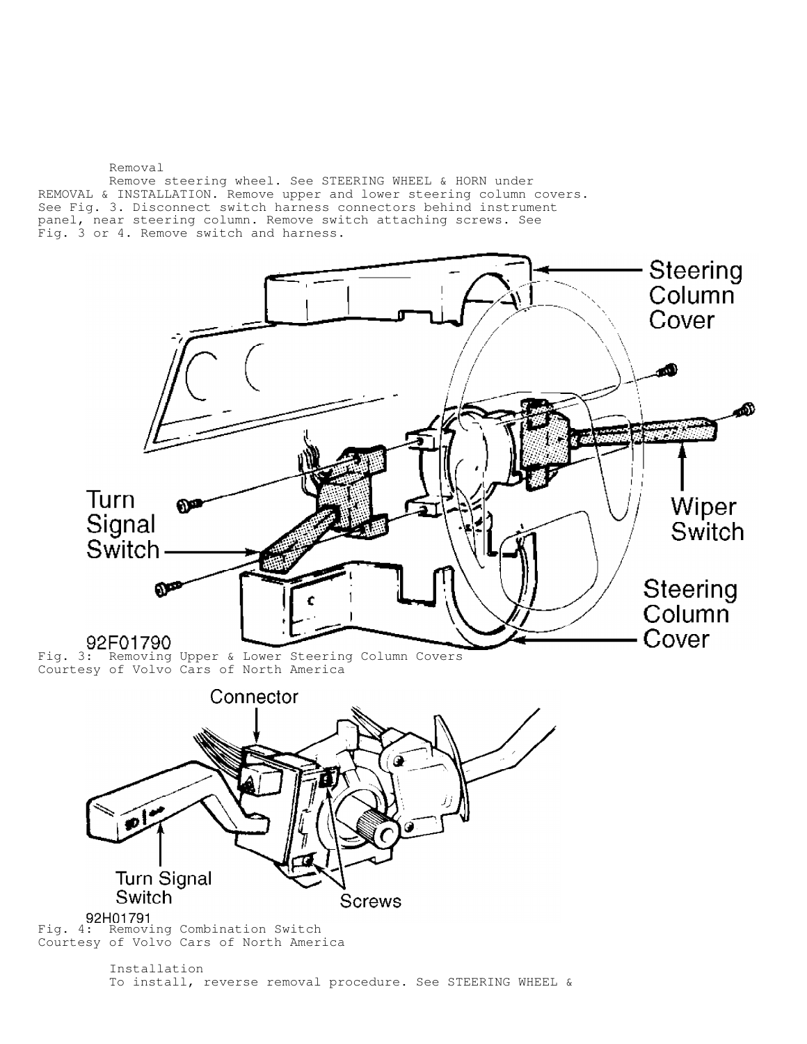Removal Remove steering wheel. See STEERING WHEEL & HORN under REMOVAL & INSTALLATION. Remove upper and lower steering column covers. See Fig. 3. Disconnect switch harness connectors behind instrument panel, near steering column. Remove switch attaching screws. See Fig. 3 or 4. Remove switch and harness.

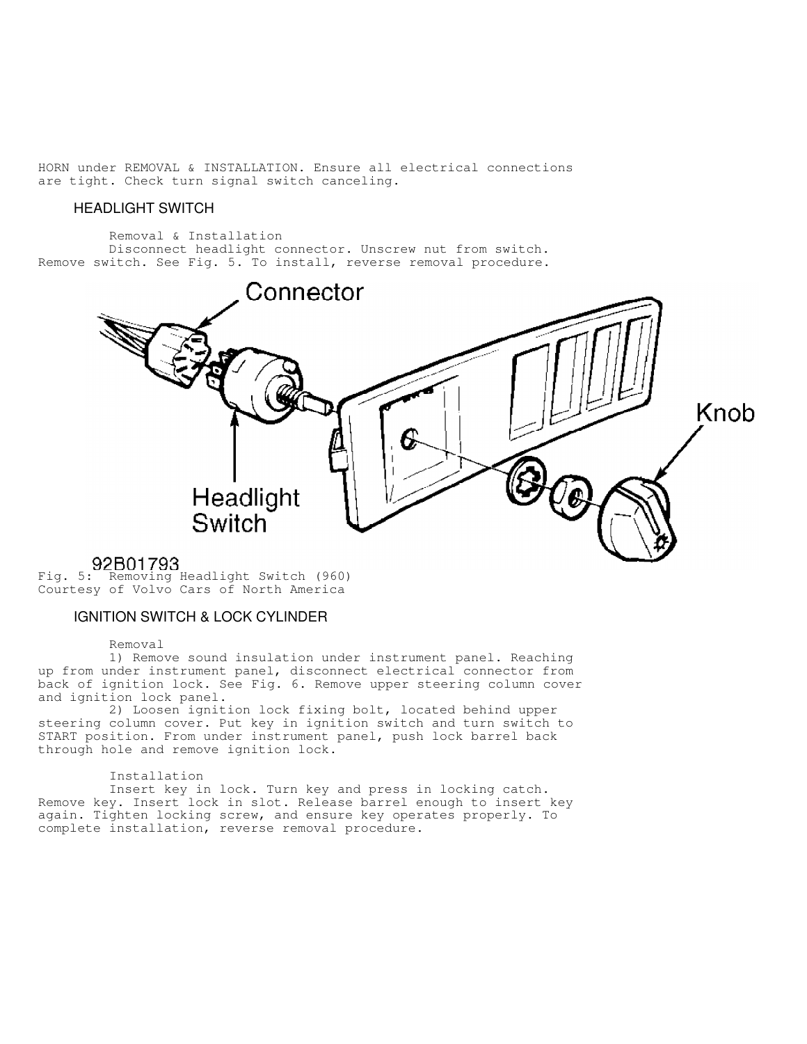HORN under REMOVAL & INSTALLATION. Ensure all electrical connections are tight. Check turn signal switch canceling.

### HEADLIGHT SWITCH

 Removal & Installation Disconnect headlight connector. Unscrew nut from switch. Remove switch. See Fig. 5. To install, reverse removal procedure.



Fig. 5: Removing Headlight Switch (960) Courtesy of Volvo Cars of North America

## IGNITION SWITCH & LOCK CYLINDER

Removal

 1) Remove sound insulation under instrument panel. Reaching up from under instrument panel, disconnect electrical connector from back of ignition lock. See Fig. 6. Remove upper steering column cover and ignition lock panel.

 2) Loosen ignition lock fixing bolt, located behind upper steering column cover. Put key in ignition switch and turn switch to START position. From under instrument panel, push lock barrel back through hole and remove ignition lock.

### Installation

 Insert key in lock. Turn key and press in locking catch. Remove key. Insert lock in slot. Release barrel enough to insert key again. Tighten locking screw, and ensure key operates properly. To complete installation, reverse removal procedure.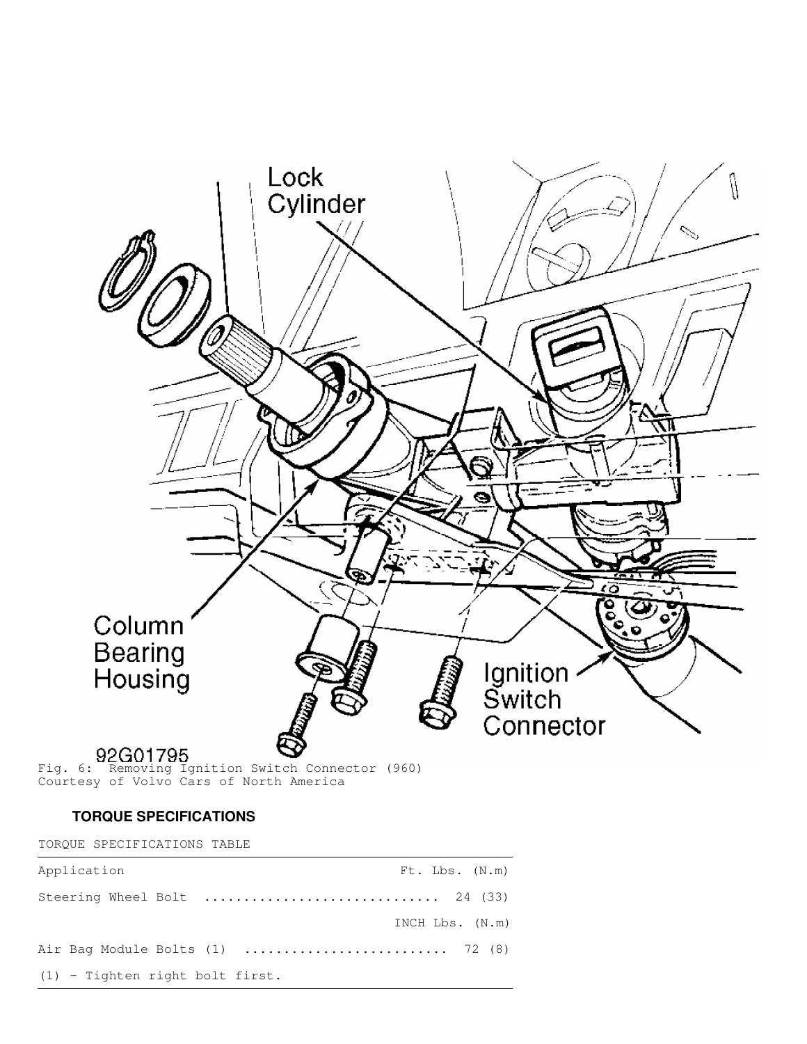

Fig. 6: Removing Ignition Switch Connector (960) Courtesy of Volvo Cars of North America

## **TORQUE SPECIFICATIONS**

TORQUE SPECIFICATIONS TABLE

| Application                       |  | $Ft$ . $Lbs.$ $(N.m)$ |
|-----------------------------------|--|-----------------------|
| Steering Wheel Bolt  24 (33)      |  |                       |
|                                   |  | INCH $Lbs. (N.m)$     |
|                                   |  |                       |
| $(1)$ - Tighten right bolt first. |  |                       |